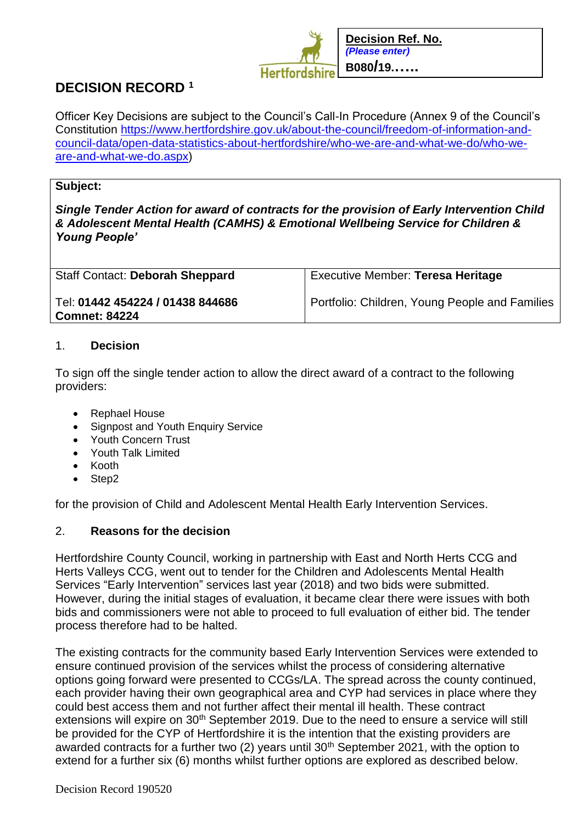

# **DECISION RECORD <sup>1</sup>**

Officer Key Decisions are subject to the Council's Call-In Procedure (Annex 9 of the Council's Constitution [https://www.hertfordshire.gov.uk/about-the-council/freedom-of-information-and](https://www.hertfordshire.gov.uk/about-the-council/freedom-of-information-and-council-data/open-data-statistics-about-hertfordshire/who-we-are-and-what-we-do/who-we-are-and-what-we-do.aspx)[council-data/open-data-statistics-about-hertfordshire/who-we-are-and-what-we-do/who-we](https://www.hertfordshire.gov.uk/about-the-council/freedom-of-information-and-council-data/open-data-statistics-about-hertfordshire/who-we-are-and-what-we-do/who-we-are-and-what-we-do.aspx)[are-and-what-we-do.aspx\)](https://www.hertfordshire.gov.uk/about-the-council/freedom-of-information-and-council-data/open-data-statistics-about-hertfordshire/who-we-are-and-what-we-do/who-we-are-and-what-we-do.aspx)

## **Subject:**

*Single Tender Action for award of contracts for the provision of Early Intervention Child & Adolescent Mental Health (CAMHS) & Emotional Wellbeing Service for Children & Young People'*

| <b>Staff Contact: Deborah Sheppard</b>                   | Executive Member: Teresa Heritage              |
|----------------------------------------------------------|------------------------------------------------|
| Tel: 01442 454224 / 01438 844686<br><b>Comnet: 84224</b> | Portfolio: Children, Young People and Families |

## 1. **Decision**

To sign off the single tender action to allow the direct award of a contract to the following providers:

- Rephael House
- Signpost and Youth Enquiry Service
- Youth Concern Trust
- Youth Talk Limited
- Kooth
- Step2

for the provision of Child and Adolescent Mental Health Early Intervention Services.

# 2. **Reasons for the decision**

Hertfordshire County Council, working in partnership with East and North Herts CCG and Herts Valleys CCG, went out to tender for the Children and Adolescents Mental Health Services "Early Intervention" services last year (2018) and two bids were submitted. However, during the initial stages of evaluation, it became clear there were issues with both bids and commissioners were not able to proceed to full evaluation of either bid. The tender process therefore had to be halted.

The existing contracts for the community based Early Intervention Services were extended to ensure continued provision of the services whilst the process of considering alternative options going forward were presented to CCGs/LA. The spread across the county continued, each provider having their own geographical area and CYP had services in place where they could best access them and not further affect their mental ill health. These contract extensions will expire on 30<sup>th</sup> September 2019. Due to the need to ensure a service will still be provided for the CYP of Hertfordshire it is the intention that the existing providers are awarded contracts for a further two (2) years until 30<sup>th</sup> September 2021, with the option to extend for a further six (6) months whilst further options are explored as described below.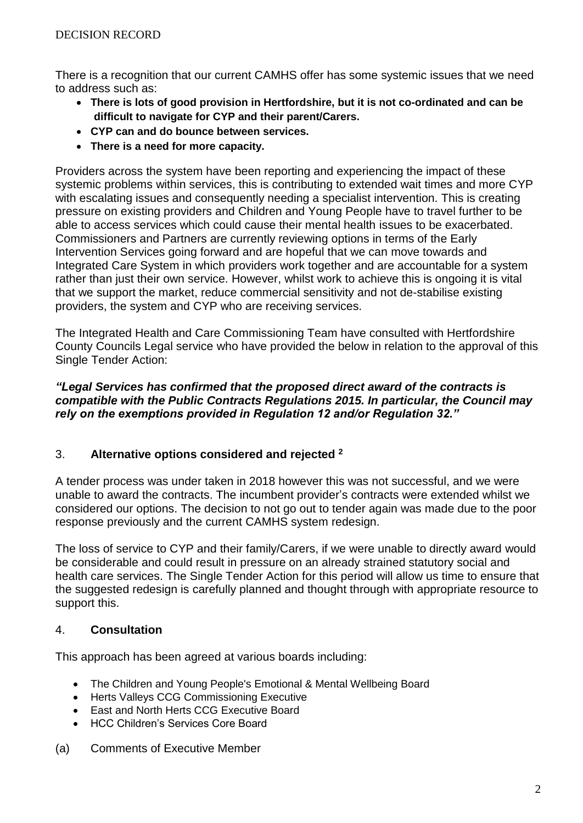There is a recognition that our current CAMHS offer has some systemic issues that we need to address such as:

- **There is lots of good provision in Hertfordshire, but it is not co-ordinated and can be difficult to navigate for CYP and their parent/Carers.**
- **CYP can and do bounce between services.**
- **There is a need for more capacity.**

Providers across the system have been reporting and experiencing the impact of these systemic problems within services, this is contributing to extended wait times and more CYP with escalating issues and consequently needing a specialist intervention. This is creating pressure on existing providers and Children and Young People have to travel further to be able to access services which could cause their mental health issues to be exacerbated. Commissioners and Partners are currently reviewing options in terms of the Early Intervention Services going forward and are hopeful that we can move towards and Integrated Care System in which providers work together and are accountable for a system rather than just their own service. However, whilst work to achieve this is ongoing it is vital that we support the market, reduce commercial sensitivity and not de-stabilise existing providers, the system and CYP who are receiving services.

The Integrated Health and Care Commissioning Team have consulted with Hertfordshire County Councils Legal service who have provided the below in relation to the approval of this Single Tender Action:

#### *"Legal Services has confirmed that the proposed direct award of the contracts is compatible with the Public Contracts Regulations 2015. In particular, the Council may rely on the exemptions provided in Regulation 12 and/or Regulation 32."*

# 3. **Alternative options considered and rejected <sup>2</sup>**

A tender process was under taken in 2018 however this was not successful, and we were unable to award the contracts. The incumbent provider's contracts were extended whilst we considered our options. The decision to not go out to tender again was made due to the poor response previously and the current CAMHS system redesign.

The loss of service to CYP and their family/Carers, if we were unable to directly award would be considerable and could result in pressure on an already strained statutory social and health care services. The Single Tender Action for this period will allow us time to ensure that the suggested redesign is carefully planned and thought through with appropriate resource to support this.

# 4. **Consultation**

This approach has been agreed at various boards including:

- The Children and Young People's Emotional & Mental Wellbeing Board
- Herts Valleys CCG Commissioning Executive
- East and North Herts CCG Executive Board
- HCC Children's Services Core Board
- (a) Comments of Executive Member